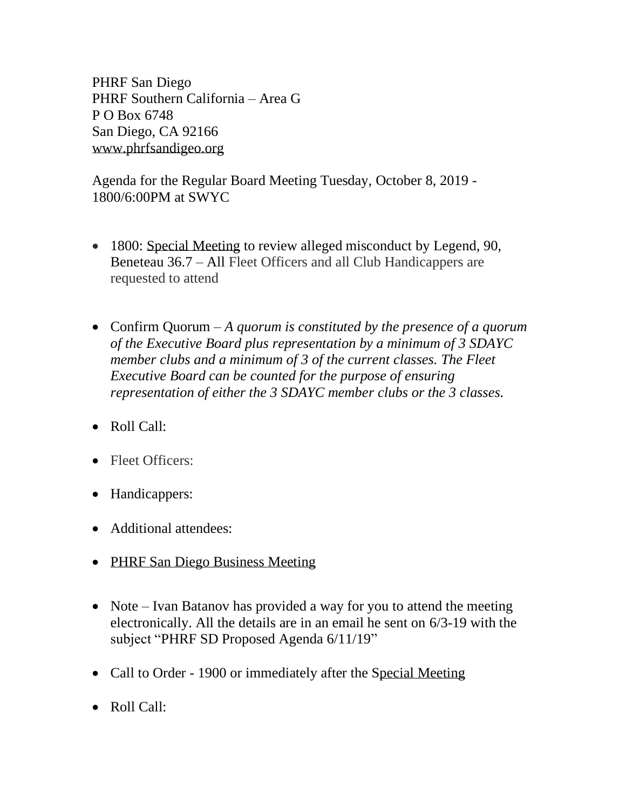PHRF San Diego PHRF Southern California – Area G P O Box 6748 San Diego, CA 92166 [www.phrfsandigeo.org](http://www.phrfsandigeo.org/)

Agenda for the Regular Board Meeting Tuesday, October 8, 2019 - 1800/6:00PM at SWYC

- 1800: Special Meeting to review alleged misconduct by Legend, 90, Beneteau 36.7 – All Fleet Officers and all Club Handicappers are requested to attend
- Confirm Quorum *A quorum is constituted by the presence of a quorum of the Executive Board plus representation by a minimum of 3 SDAYC member clubs and a minimum of 3 of the current classes. The Fleet Executive Board can be counted for the purpose of ensuring representation of either the 3 SDAYC member clubs or the 3 classes.*
- Roll Call:
- Fleet Officers:
- Handicappers:
- Additional attendees:
- PHRF San Diego Business Meeting
- Note Ivan Batanov has provided a way for you to attend the meeting electronically. All the details are in an email he sent on 6/3-19 with the subject "PHRF SD Proposed Agenda 6/11/19"
- Call to Order 1900 or immediately after the Special Meeting
- Roll Call: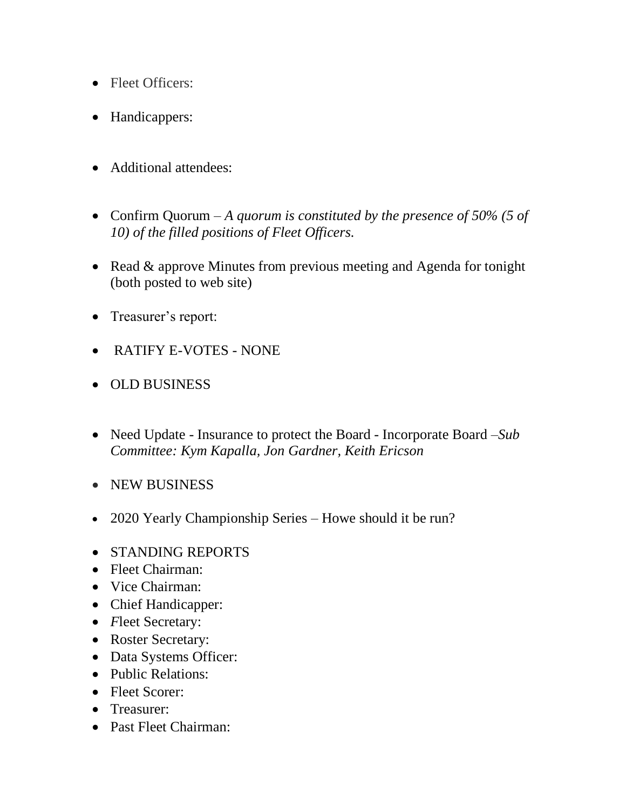- Fleet Officers:
- Handicappers:
- Additional attendees:
- Confirm Quorum *A quorum is constituted by the presence of 50% (5 of 10) of the filled positions of Fleet Officers.*
- Read & approve Minutes from previous meeting and Agenda for tonight (both posted to web site)
- Treasurer's report:
- RATIFY E-VOTES NONE
- OLD BUSINESS
- Need Update Insurance to protect the Board Incorporate Board –*Sub Committee: Kym Kapalla, Jon Gardner, Keith Ericson*
- NEW BUSINESS
- 2020 Yearly Championship Series Howe should it be run?
- STANDING REPORTS
- Fleet Chairman:
- Vice Chairman:
- Chief Handicapper:
- *F*leet Secretary:
- Roster Secretary:
- Data Systems Officer:
- Public Relations:
- Fleet Scorer:
- Treasurer:
- Past Fleet Chairman: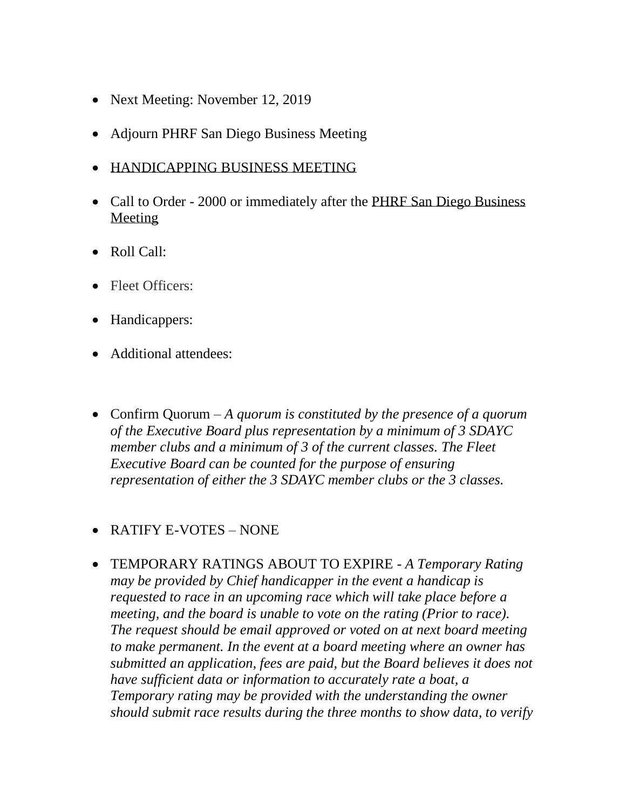- Next Meeting: November 12, 2019
- Adjourn PHRF San Diego Business Meeting
- HANDICAPPING BUSINESS MEETING
- Call to Order 2000 or immediately after the PHRF San Diego Business Meeting
- Roll Call:
- Fleet Officers:
- Handicappers:
- Additional attendees:
- Confirm Quorum *A quorum is constituted by the presence of a quorum of the Executive Board plus representation by a minimum of 3 SDAYC member clubs and a minimum of 3 of the current classes. The Fleet Executive Board can be counted for the purpose of ensuring representation of either the 3 SDAYC member clubs or the 3 classes.*

## • RATIFY E-VOTES – NONE

• TEMPORARY RATINGS ABOUT TO EXPIRE - *A Temporary Rating may be provided by Chief handicapper in the event a handicap is requested to race in an upcoming race which will take place before a meeting, and the board is unable to vote on the rating (Prior to race). The request should be email approved or voted on at next board meeting to make permanent. In the event at a board meeting where an owner has submitted an application, fees are paid, but the Board believes it does not have sufficient data or information to accurately rate a boat, a Temporary rating may be provided with the understanding the owner should submit race results during the three months to show data, to verify*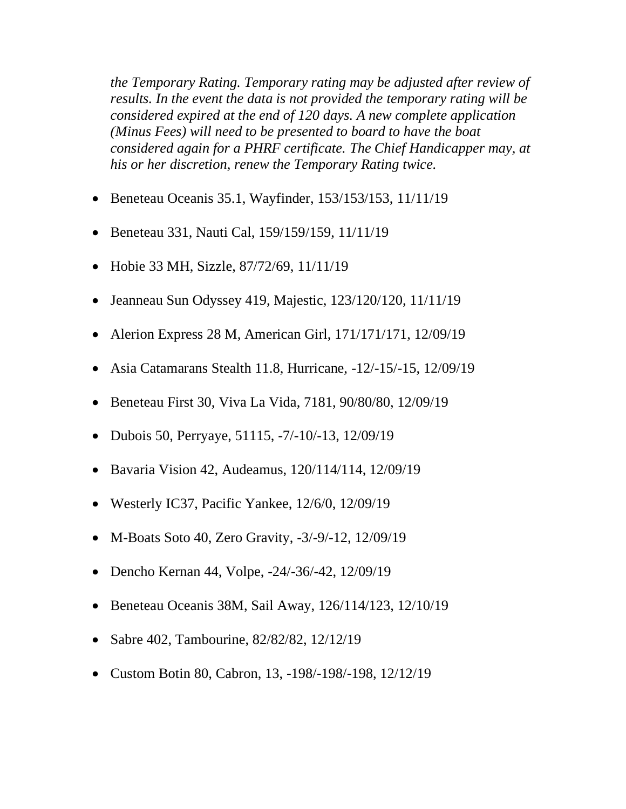*the Temporary Rating. Temporary rating may be adjusted after review of results. In the event the data is not provided the temporary rating will be considered expired at the end of 120 days. A new complete application (Minus Fees) will need to be presented to board to have the boat considered again for a PHRF certificate. The Chief Handicapper may, at his or her discretion, renew the Temporary Rating twice.*

- Beneteau Oceanis 35.1, Wayfinder, 153/153/153, 11/11/19
- Beneteau 331, Nauti Cal, 159/159/159, 11/11/19
- Hobie 33 MH, Sizzle, 87/72/69, 11/11/19
- Jeanneau Sun Odyssey 419, Majestic, 123/120/120, 11/11/19
- Alerion Express 28 M, American Girl, 171/171/171, 12/09/19
- Asia Catamarans Stealth 11.8, Hurricane, -12/-15/-15, 12/09/19
- Beneteau First 30, Viva La Vida, 7181, 90/80/80, 12/09/19
- Dubois 50, Perryaye, 51115, -7/-10/-13, 12/09/19
- Bavaria Vision 42, Audeamus, 120/114/114, 12/09/19
- Westerly IC37, Pacific Yankee, 12/6/0, 12/09/19
- M-Boats Soto 40, Zero Gravity, -3/-9/-12, 12/09/19
- Dencho Kernan 44, Volpe, -24/-36/-42, 12/09/19
- Beneteau Oceanis 38M, Sail Away, 126/114/123, 12/10/19
- Sabre 402, Tambourine, 82/82/82, 12/12/19
- Custom Botin 80, Cabron, 13, -198/-198/-198, 12/12/19